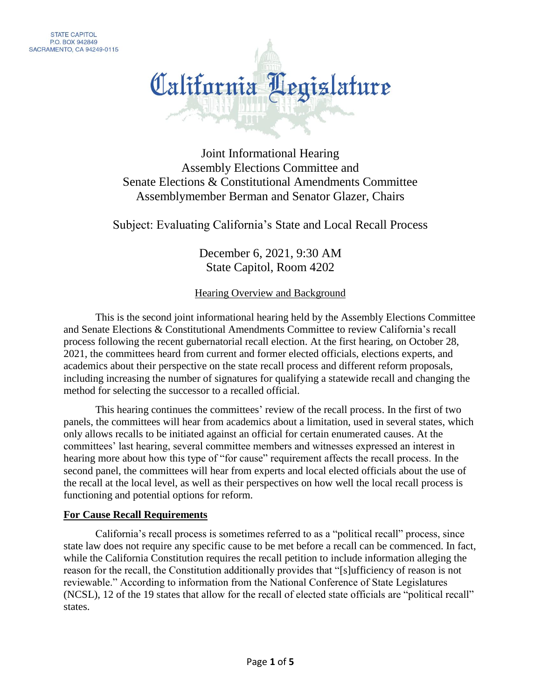

Joint Informational Hearing Assembly Elections Committee and Senate Elections & Constitutional Amendments Committee Assemblymember Berman and Senator Glazer, Chairs

Subject: Evaluating California's State and Local Recall Process

December 6, 2021, 9:30 AM State Capitol, Room 4202

Hearing Overview and Background

This is the second joint informational hearing held by the Assembly Elections Committee and Senate Elections & Constitutional Amendments Committee to review California's recall process following the recent gubernatorial recall election. At the first hearing, on October 28, 2021, the committees heard from current and former elected officials, elections experts, and academics about their perspective on the state recall process and different reform proposals, including increasing the number of signatures for qualifying a statewide recall and changing the method for selecting the successor to a recalled official.

This hearing continues the committees' review of the recall process. In the first of two panels, the committees will hear from academics about a limitation, used in several states, which only allows recalls to be initiated against an official for certain enumerated causes. At the committees' last hearing, several committee members and witnesses expressed an interest in hearing more about how this type of "for cause" requirement affects the recall process. In the second panel, the committees will hear from experts and local elected officials about the use of the recall at the local level, as well as their perspectives on how well the local recall process is functioning and potential options for reform.

#### **For Cause Recall Requirements**

California's recall process is sometimes referred to as a "political recall" process, since state law does not require any specific cause to be met before a recall can be commenced. In fact, while the California Constitution requires the recall petition to include information alleging the reason for the recall, the Constitution additionally provides that "[s]ufficiency of reason is not reviewable." According to information from the National Conference of State Legislatures (NCSL), 12 of the 19 states that allow for the recall of elected state officials are "political recall" states.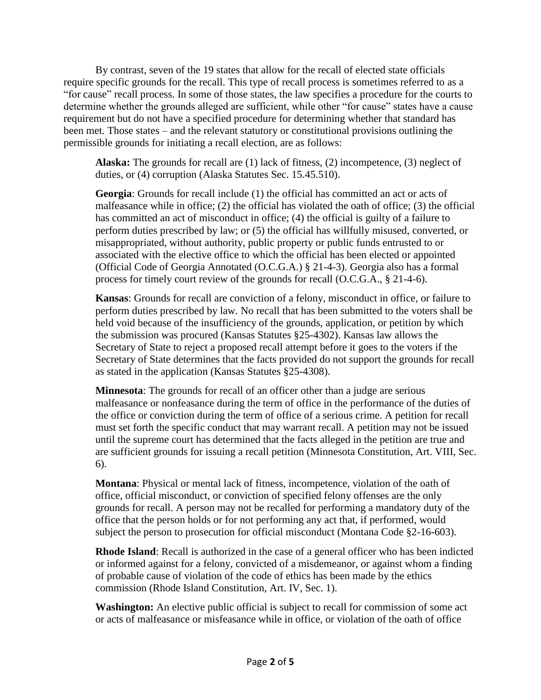By contrast, seven of the 19 states that allow for the recall of elected state officials require specific grounds for the recall. This type of recall process is sometimes referred to as a "for cause" recall process. In some of those states, the law specifies a procedure for the courts to determine whether the grounds alleged are sufficient, while other "for cause" states have a cause requirement but do not have a specified procedure for determining whether that standard has been met. Those states – and the relevant statutory or constitutional provisions outlining the permissible grounds for initiating a recall election, are as follows:

**Alaska:** The grounds for recall are (1) lack of fitness, (2) incompetence, (3) neglect of duties, or (4) corruption (Alaska Statutes Sec. 15.45.510).

**Georgia**: Grounds for recall include (1) the official has committed an act or acts of malfeasance while in office; (2) the official has violated the oath of office; (3) the official has committed an act of misconduct in office; (4) the official is guilty of a failure to perform duties prescribed by law; or (5) the official has willfully misused, converted, or misappropriated, without authority, public property or public funds entrusted to or associated with the elective office to which the official has been elected or appointed (Official Code of Georgia Annotated (O.C.G.A.) § 21-4-3). Georgia also has a formal process for timely court review of the grounds for recall (O.C.G.A., § 21-4-6).

**Kansas**: Grounds for recall are conviction of a felony, misconduct in office, or failure to perform duties prescribed by law. No recall that has been submitted to the voters shall be held void because of the insufficiency of the grounds, application, or petition by which the submission was procured (Kansas Statutes §25-4302). Kansas law allows the Secretary of State to reject a proposed recall attempt before it goes to the voters if the Secretary of State determines that the facts provided do not support the grounds for recall as stated in the application (Kansas Statutes §25-4308).

**Minnesota:** The grounds for recall of an officer other than a judge are serious malfeasance or nonfeasance during the term of office in the performance of the duties of the office or conviction during the term of office of a serious crime. A petition for recall must set forth the specific conduct that may warrant recall. A petition may not be issued until the supreme court has determined that the facts alleged in the petition are true and are sufficient grounds for issuing a recall petition (Minnesota Constitution, Art. VIII, Sec. 6).

**Montana**: Physical or mental lack of fitness, incompetence, violation of the oath of office, official misconduct, or conviction of specified felony offenses are the only grounds for recall. A person may not be recalled for performing a mandatory duty of the office that the person holds or for not performing any act that, if performed, would subject the person to prosecution for official misconduct (Montana Code §2-16-603).

**Rhode Island**: Recall is authorized in the case of a general officer who has been indicted or informed against for a felony, convicted of a misdemeanor, or against whom a finding of probable cause of violation of the code of ethics has been made by the ethics commission (Rhode Island Constitution, Art. IV, Sec. 1).

**Washington:** An elective public official is subject to recall for commission of some act or acts of malfeasance or misfeasance while in office, or violation of the oath of office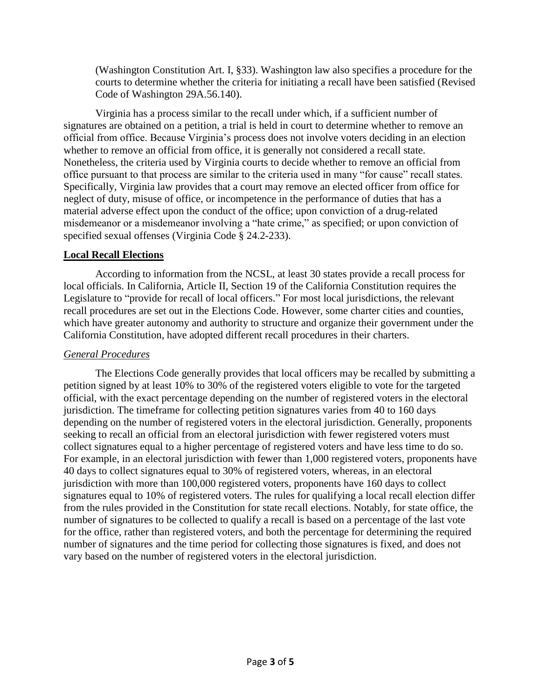(Washington Constitution Art. I, §33). Washington law also specifies a procedure for the courts to determine whether the criteria for initiating a recall have been satisfied (Revised Code of Washington 29A.56.140).

Virginia has a process similar to the recall under which, if a sufficient number of signatures are obtained on a petition, a trial is held in court to determine whether to remove an official from office. Because Virginia's process does not involve voters deciding in an election whether to remove an official from office, it is generally not considered a recall state. Nonetheless, the criteria used by Virginia courts to decide whether to remove an official from office pursuant to that process are similar to the criteria used in many "for cause" recall states. Specifically, Virginia law provides that a court may remove an elected officer from office for neglect of duty, misuse of office, or incompetence in the performance of duties that has a material adverse effect upon the conduct of the office; upon conviction of a drug-related misdemeanor or a misdemeanor involving a "hate crime," as specified; or upon conviction of specified sexual offenses (Virginia Code § 24.2-233).

### **Local Recall Elections**

According to information from the NCSL, at least 30 states provide a recall process for local officials. In California, Article II, Section 19 of the California Constitution requires the Legislature to "provide for recall of local officers." For most local jurisdictions, the relevant recall procedures are set out in the Elections Code. However, some charter cities and counties, which have greater autonomy and authority to structure and organize their government under the California Constitution, have adopted different recall procedures in their charters.

### *General Procedures*

The Elections Code generally provides that local officers may be recalled by submitting a petition signed by at least 10% to 30% of the registered voters eligible to vote for the targeted official, with the exact percentage depending on the number of registered voters in the electoral jurisdiction. The timeframe for collecting petition signatures varies from 40 to 160 days depending on the number of registered voters in the electoral jurisdiction. Generally, proponents seeking to recall an official from an electoral jurisdiction with fewer registered voters must collect signatures equal to a higher percentage of registered voters and have less time to do so. For example, in an electoral jurisdiction with fewer than 1,000 registered voters, proponents have 40 days to collect signatures equal to 30% of registered voters, whereas, in an electoral jurisdiction with more than 100,000 registered voters, proponents have 160 days to collect signatures equal to 10% of registered voters. The rules for qualifying a local recall election differ from the rules provided in the Constitution for state recall elections. Notably, for state office, the number of signatures to be collected to qualify a recall is based on a percentage of the last vote for the office, rather than registered voters, and both the percentage for determining the required number of signatures and the time period for collecting those signatures is fixed, and does not vary based on the number of registered voters in the electoral jurisdiction.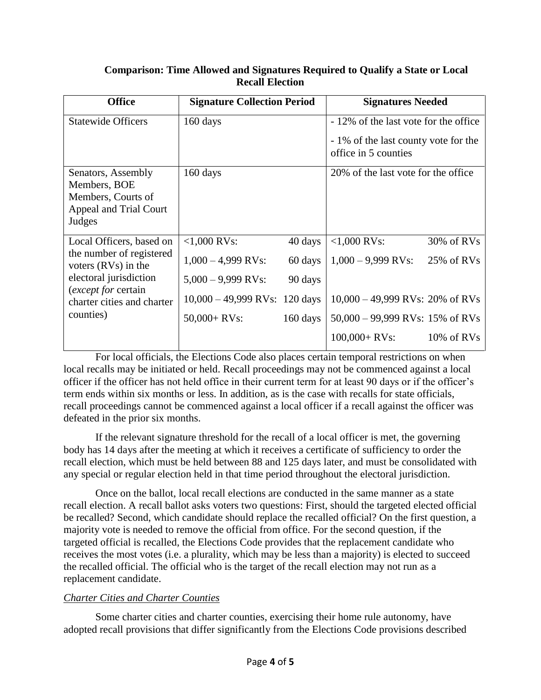| <b>Office</b>                                                                                                                                                             | <b>Signature Collection Period</b> |                    | <b>Signatures Needed</b>                                                      |               |
|---------------------------------------------------------------------------------------------------------------------------------------------------------------------------|------------------------------------|--------------------|-------------------------------------------------------------------------------|---------------|
| <b>Statewide Officers</b>                                                                                                                                                 | 160 days                           |                    | - 12% of the last vote for the office<br>- 1% of the last county vote for the |               |
|                                                                                                                                                                           |                                    |                    | office in 5 counties                                                          |               |
| Senators, Assembly<br>Members, BOE<br>Members, Courts of<br>Appeal and Trial Court<br>Judges                                                                              | 160 days                           |                    | 20% of the last vote for the office                                           |               |
| Local Officers, based on<br>the number of registered<br>voters $(RVs)$ in the<br>electoral jurisdiction<br>(except for certain<br>charter cities and charter<br>counties) | $< 1,000$ RVs:                     | 40 days            | $< 1,000$ RVs:                                                                | $30\%$ of RVs |
|                                                                                                                                                                           | $1,000 - 4,999$ RVs:               | 60 days            | $1,000 - 9,999$ RVs:                                                          | 25% of RVs    |
|                                                                                                                                                                           | $5,000 - 9,999$ RVs:               | 90 days            |                                                                               |               |
|                                                                                                                                                                           | $10,000 - 49,999$ RVs: 120 days    |                    | $10,000 - 49,999$ RVs: 20% of RVs                                             |               |
|                                                                                                                                                                           | $50,000 + RVs$ :                   | $160 \text{ days}$ | $50,000 - 99,999$ RVs: 15% of RVs                                             |               |
|                                                                                                                                                                           |                                    |                    | $100,000 + RVs$ :                                                             | $10\%$ of RVs |

## **Comparison: Time Allowed and Signatures Required to Qualify a State or Local Recall Election**

For local officials, the Elections Code also places certain temporal restrictions on when local recalls may be initiated or held. Recall proceedings may not be commenced against a local officer if the officer has not held office in their current term for at least 90 days or if the officer's term ends within six months or less. In addition, as is the case with recalls for state officials, recall proceedings cannot be commenced against a local officer if a recall against the officer was defeated in the prior six months.

If the relevant signature threshold for the recall of a local officer is met, the governing body has 14 days after the meeting at which it receives a certificate of sufficiency to order the recall election, which must be held between 88 and 125 days later, and must be consolidated with any special or regular election held in that time period throughout the electoral jurisdiction.

Once on the ballot, local recall elections are conducted in the same manner as a state recall election. A recall ballot asks voters two questions: First, should the targeted elected official be recalled? Second, which candidate should replace the recalled official? On the first question, a majority vote is needed to remove the official from office. For the second question, if the targeted official is recalled, the Elections Code provides that the replacement candidate who receives the most votes (i.e. a plurality, which may be less than a majority) is elected to succeed the recalled official. The official who is the target of the recall election may not run as a replacement candidate.

# *Charter Cities and Charter Counties*

Some charter cities and charter counties, exercising their home rule autonomy, have adopted recall provisions that differ significantly from the Elections Code provisions described